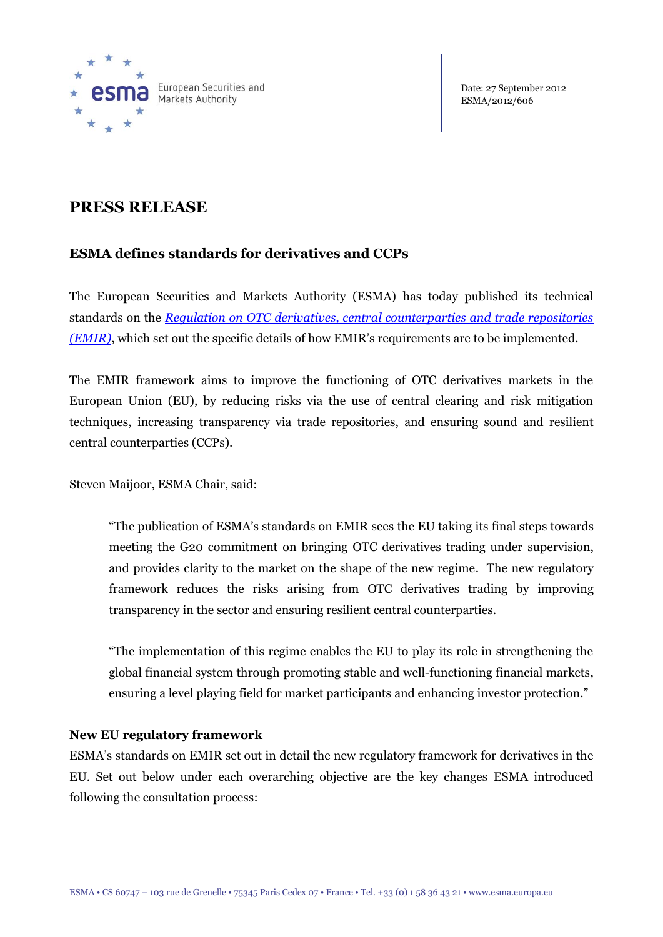

Date: 27 September 2012 ESMA/2012/606

# **PRESS RELEASE**

# **ESMA defines standards for derivatives and CCPs**

The European Securities and Markets Authority (ESMA) has today published its technical standards on the *[Regulation on OTC derivatives, central counterparties and trade repositories](http://www.esma.europa.eu/content/Draft-technical-standards-under-Regulation-EU-No-6482012-European-Parliament-and-Council-4-J) [\(EMIR\)](http://www.esma.europa.eu/content/Draft-technical-standards-under-Regulation-EU-No-6482012-European-Parliament-and-Council-4-J)*, which set out the specific details of how EMIR's requirements are to be implemented.

The EMIR framework aims to improve the functioning of OTC derivatives markets in the European Union (EU), by reducing risks via the use of central clearing and risk mitigation techniques, increasing transparency via trade repositories, and ensuring sound and resilient central counterparties (CCPs).

Steven Maijoor, ESMA Chair, said:

"The publication of ESMA's standards on EMIR sees the EU taking its final steps towards meeting the G20 commitment on bringing OTC derivatives trading under supervision, and provides clarity to the market on the shape of the new regime. The new regulatory framework reduces the risks arising from OTC derivatives trading by improving transparency in the sector and ensuring resilient central counterparties.

"The implementation of this regime enables the EU to play its role in strengthening the global financial system through promoting stable and well-functioning financial markets, ensuring a level playing field for market participants and enhancing investor protection."

## **New EU regulatory framework**

ESMA's standards on EMIR set out in detail the new regulatory framework for derivatives in the EU. Set out below under each overarching objective are the key changes ESMA introduced following the consultation process: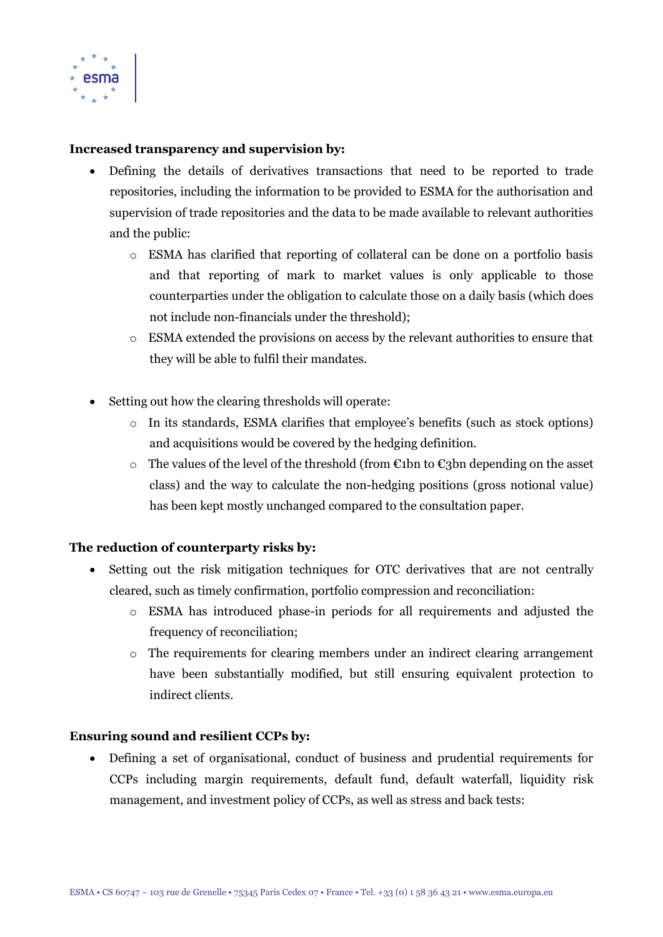

## **Increased transparency and supervision by:**

- Defining the details of derivatives transactions that need to be reported to trade repositories, including the information to be provided to ESMA for the authorisation and supervision of trade repositories and the data to be made available to relevant authorities and the public:
	- o ESMA has clarified that reporting of collateral can be done on a portfolio basis and that reporting of mark to market values is only applicable to those counterparties under the obligation to calculate those on a daily basis (which does not include non-financials under the threshold);
	- o ESMA extended the provisions on access by the relevant authorities to ensure that they will be able to fulfil their mandates.
- Setting out how the clearing thresholds will operate:
	- o In its standards, ESMA clarifies that employee's benefits (such as stock options) and acquisitions would be covered by the hedging definition.
	- o The values of the level of the threshold (from  $\epsilon$ 1bn to  $\epsilon$ 3bn depending on the asset class) and the way to calculate the non-hedging positions (gross notional value) has been kept mostly unchanged compared to the consultation paper.

#### **The reduction of counterparty risks by:**

- Setting out the risk mitigation techniques for OTC derivatives that are not centrally cleared, such as timely confirmation, portfolio compression and reconciliation:
	- o ESMA has introduced phase-in periods for all requirements and adjusted the frequency of reconciliation;
	- $\circ$  The requirements for clearing members under an indirect clearing arrangement have been substantially modified, but still ensuring equivalent protection to indirect clients.

#### **Ensuring sound and resilient CCPs by:**

 Defining a set of organisational, conduct of business and prudential requirements for CCPs including margin requirements, default fund, default waterfall, liquidity risk management, and investment policy of CCPs, as well as stress and back tests: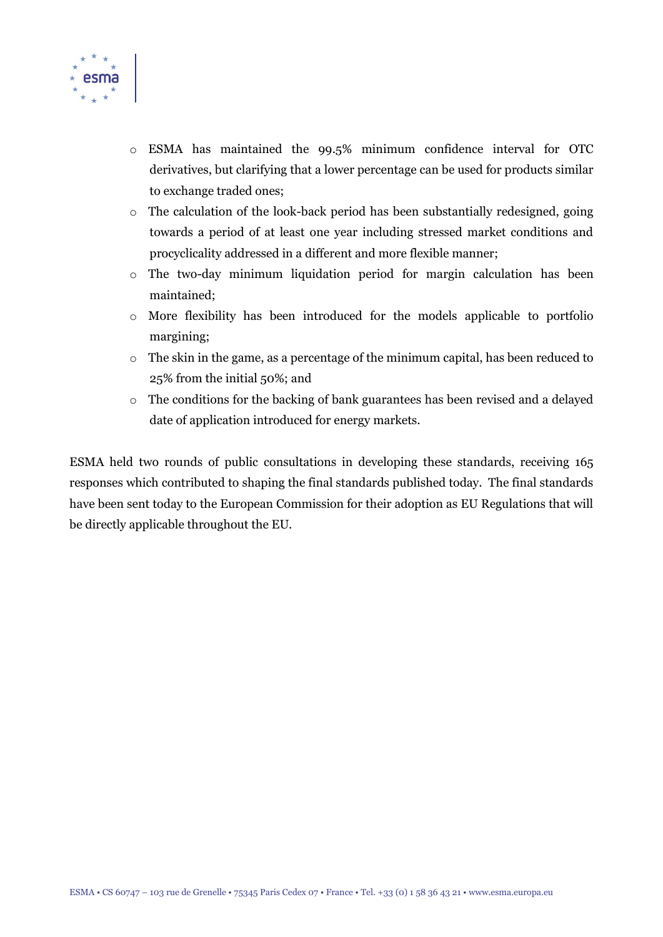

- o ESMA has maintained the 99.5% minimum confidence interval for OTC derivatives, but clarifying that a lower percentage can be used for products similar to exchange traded ones;
- o The calculation of the look-back period has been substantially redesigned, going towards a period of at least one year including stressed market conditions and procyclicality addressed in a different and more flexible manner;
- o The two-day minimum liquidation period for margin calculation has been maintained;
- o More flexibility has been introduced for the models applicable to portfolio margining;
- o The skin in the game, as a percentage of the minimum capital, has been reduced to 25% from the initial 50%; and
- o The conditions for the backing of bank guarantees has been revised and a delayed date of application introduced for energy markets.

ESMA held two rounds of public consultations in developing these standards, receiving 165 responses which contributed to shaping the final standards published today. The final standards have been sent today to the European Commission for their adoption as EU Regulations that will be directly applicable throughout the EU.